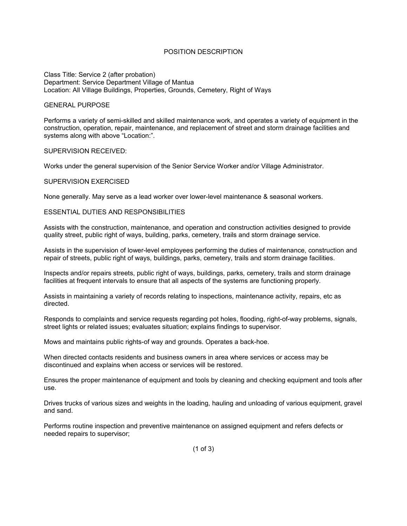## POSITION DESCRIPTION

Class Title: Service 2 (after probation) Department: Service Department Village of Mantua Location: All Village Buildings, Properties, Grounds, Cemetery, Right of Ways

### GENERAL PURPOSE

Performs a variety of semi-skilled and skilled maintenance work, and operates a variety of equipment in the construction, operation, repair, maintenance, and replacement of street and storm drainage facilities and systems along with above "Location:".

### SUPERVISION RECEIVED:

Works under the general supervision of the Senior Service Worker and/or Village Administrator.

### SUPERVISION EXERCISED

None generally. May serve as a lead worker over lower-level maintenance & seasonal workers.

### ESSENTIAL DUTIES AND RESPONSIBILITIES

Assists with the construction, maintenance, and operation and construction activities designed to provide quality street, public right of ways, building, parks, cemetery, trails and storm drainage service.

Assists in the supervision of lower-level employees performing the duties of maintenance, construction and repair of streets, public right of ways, buildings, parks, cemetery, trails and storm drainage facilities.

Inspects and/or repairs streets, public right of ways, buildings, parks, cemetery, trails and storm drainage facilities at frequent intervals to ensure that all aspects of the systems are functioning properly.

Assists in maintaining a variety of records relating to inspections, maintenance activity, repairs, etc as directed.

Responds to complaints and service requests regarding pot holes, flooding, right-of-way problems, signals, street lights or related issues; evaluates situation; explains findings to supervisor.

Mows and maintains public rights-of way and grounds. Operates a back-hoe.

When directed contacts residents and business owners in area where services or access may be discontinued and explains when access or services will be restored.

Ensures the proper maintenance of equipment and tools by cleaning and checking equipment and tools after use.

Drives trucks of various sizes and weights in the loading, hauling and unloading of various equipment, gravel and sand.

Performs routine inspection and preventive maintenance on assigned equipment and refers defects or needed repairs to supervisor;

(1 of 3)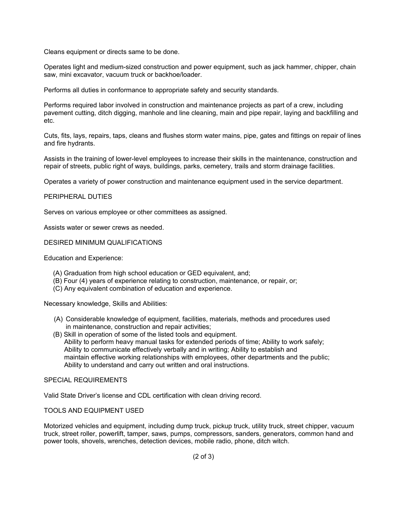Cleans equipment or directs same to be done.

Operates light and medium-sized construction and power equipment, such as jack hammer, chipper, chain saw, mini excavator, vacuum truck or backhoe/loader.

Performs all duties in conformance to appropriate safety and security standards.

Performs required labor involved in construction and maintenance projects as part of a crew, including pavement cutting, ditch digging, manhole and line cleaning, main and pipe repair, laying and backfilling and etc.

Cuts, fits, lays, repairs, taps, cleans and flushes storm water mains, pipe, gates and fittings on repair of lines and fire hydrants.

Assists in the training of lower-level employees to increase their skills in the maintenance, construction and repair of streets, public right of ways, buildings, parks, cemetery, trails and storm drainage facilities.

Operates a variety of power construction and maintenance equipment used in the service department.

## PERIPHERAL DUTIES

Serves on various employee or other committees as assigned.

Assists water or sewer crews as needed.

## DESIRED MINIMUM QUALIFICATIONS

Education and Experience:

- (A) Graduation from high school education or GED equivalent, and;
- (B) Four (4) years of experience relating to construction, maintenance, or repair, or;
- (C) Any equivalent combination of education and experience.

Necessary knowledge, Skills and Abilities:

- (A) Considerable knowledge of equipment, facilities, materials, methods and procedures used in maintenance, construction and repair activities;
- (B) Skill in operation of some of the listed tools and equipment. Ability to perform heavy manual tasks for extended periods of time; Ability to work safely; Ability to communicate effectively verbally and in writing; Ability to establish and maintain effective working relationships with employees, other departments and the public; Ability to understand and carry out written and oral instructions.

# SPECIAL REQUIREMENTS

Valid State Driver's license and CDL certification with clean driving record.

## TOOLS AND EQUIPMENT USED

Motorized vehicles and equipment, including dump truck, pickup truck, utility truck, street chipper, vacuum truck, street roller, powerlift, tamper, saws, pumps, compressors, sanders, generators, common hand and power tools, shovels, wrenches, detection devices, mobile radio, phone, ditch witch.